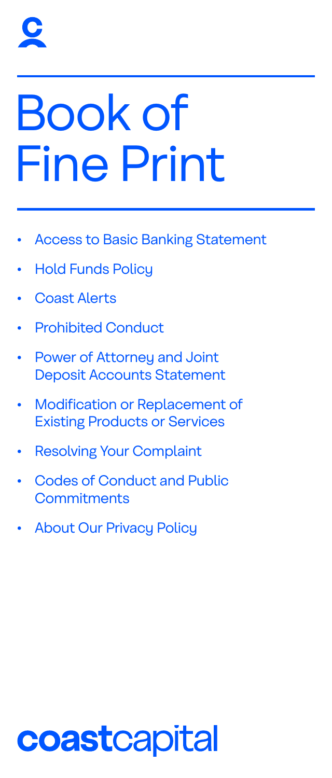

# Book of Fine Print

- Access to Basic Banking Statement
- **Hold Funds Policy**
- Coast Alerts
- Prohibited Conduct
- Power of Attorney and Joint Deposit Accounts Statement
- Modification or Replacement of Existing Products or Services
- Resolving Your Complaint
- Codes of Conduct and Public **Commitments**
- **About Our Privacy Policy**

### **coast**capital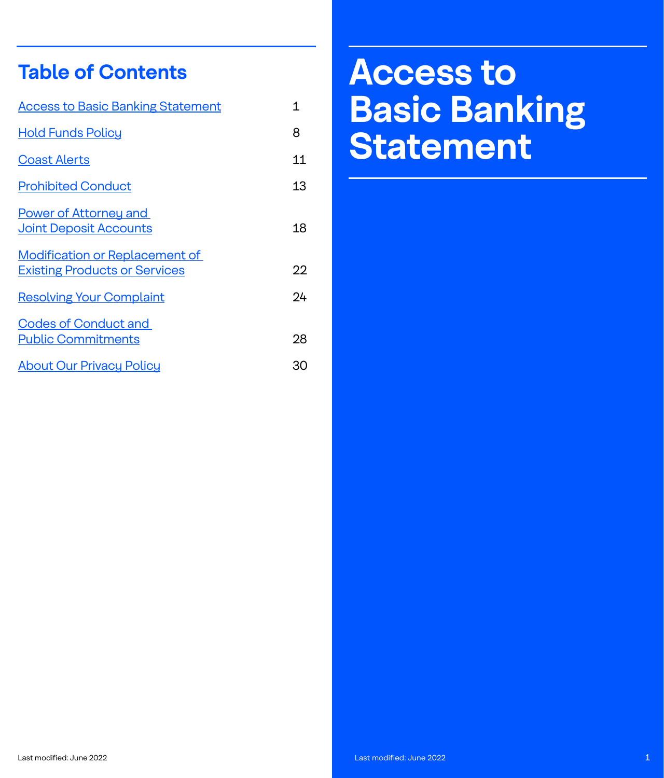### **Table of Contents**

| <b>Access to Basic Banking Statement</b>                                      | 1  |
|-------------------------------------------------------------------------------|----|
| <b>Hold Funds Policy</b>                                                      | 8  |
| <b>Coast Alerts</b>                                                           | 11 |
| <b>Prohibited Conduct</b>                                                     | 13 |
| Power of Attorney and<br><b>Joint Deposit Accounts</b>                        | 18 |
| <b>Modification or Replacement of</b><br><b>Existing Products or Services</b> | 22 |
| <b>Resolving Your Complaint</b>                                               | 24 |
| <b>Codes of Conduct and</b><br><b>Public Commitments</b>                      | 28 |
| <b>About Our Privacy Policy</b>                                               | 30 |

### **Access to Basic Banking Statement**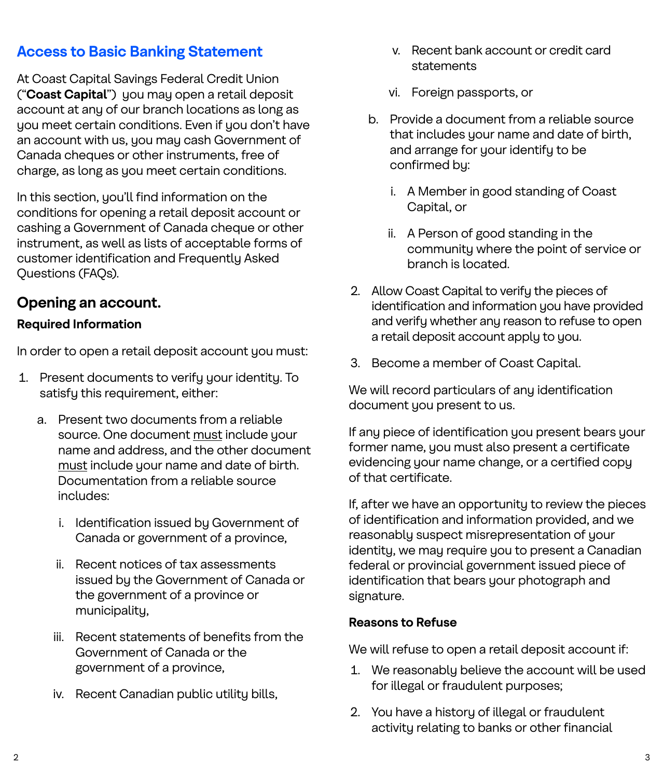### **Access to Basic Banking Statement**

At Coast Capital Savings Federal Credit Union ("**Coast Capital**") you may open a retail deposit account at any of our branch locations as long as you meet certain conditions. Even if you don't have an account with us, you may cash Government of Canada cheques or other instruments, free of charge, as long as you meet certain conditions.

In this section, you'll find information on the conditions for opening a retail deposit account or cashing a Government of Canada cheque or other instrument, as well as lists of acceptable forms of customer identification and Frequently Asked Questions (FAQs).

### **Opening an account.**

### **Required Information**

In order to open a retail deposit account you must:

- 1. Present documents to verify your identity. To satisfy this requirement, either:
	- a. Present two documents from a reliable source. One document must include your name and address, and the other document must include your name and date of birth. Documentation from a reliable source includes:
		- i. Identification issued by Government of Canada or government of a province,
		- ii. Recent notices of tax assessments issued by the Government of Canada or the government of a province or municipality,
		- iii. Recent statements of benefits from the Government of Canada or the government of a province,
		- iv. Recent Canadian public utility bills,
- v. Recent bank account or credit card statements
- vi. Foreign passports, or
- b. Provide a document from a reliable source that includes your name and date of birth, and arrange for your identify to be confirmed by:
	- i. A Member in good standing of Coast Capital, or
	- ii. A Person of good standing in the community where the point of service or branch is located.
- 2. Allow Coast Capital to verify the pieces of identification and information you have provided and verify whether any reason to refuse to open a retail deposit account apply to you.
- 3. Become a member of Coast Capital.

We will record particulars of any identification document you present to us.

If any piece of identification you present bears your former name, you must also present a certificate evidencing your name change, or a certified copy of that certificate.

If, after we have an opportunity to review the pieces of identification and information provided, and we reasonably suspect misrepresentation of your identity, we may require you to present a Canadian federal or provincial government issued piece of identification that bears your photograph and signature.

### **Reasons to Refuse**

We will refuse to open a retail deposit account if:

- 1. We reasonably believe the account will be used for illegal or fraudulent purposes;
- 2. You have a history of illegal or fraudulent activity relating to banks or other financial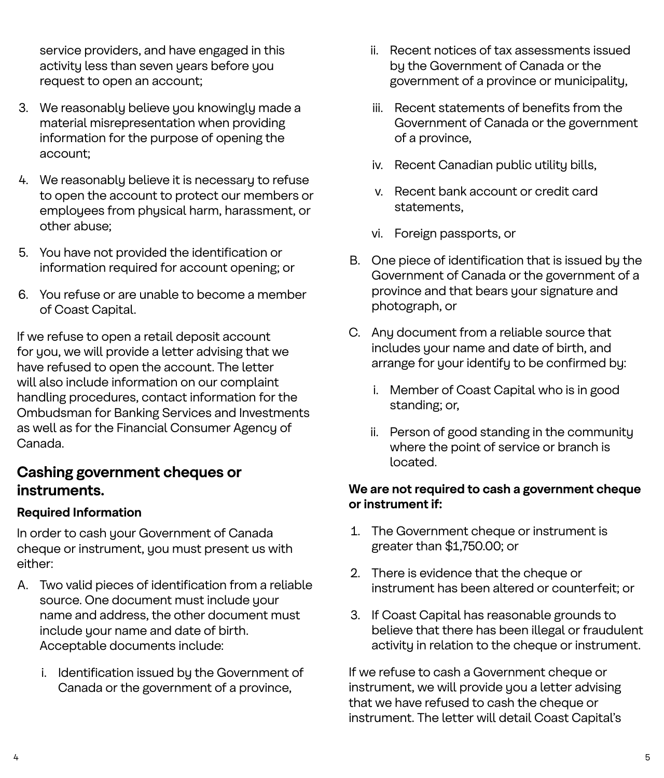service providers, and have engaged in this activity less than seven years before you request to open an account;

- 3. We reasonably believe you knowingly made a material misrepresentation when providing information for the purpose of opening the account;
- 4. We reasonably believe it is necessary to refuse to open the account to protect our members or employees from physical harm, harassment, or other abuse;
- 5. You have not provided the identification or information required for account opening; or
- 6. You refuse or are unable to become a member of Coast Capital.

If we refuse to open a retail deposit account for you, we will provide a letter advising that we have refused to open the account. The letter will also include information on our complaint handling procedures, contact information for the Ombudsman for Banking Services and Investments as well as for the Financial Consumer Agency of Canada.

### **Cashing government cheques or instruments.**

### **Required Information**

In order to cash your Government of Canada cheque or instrument, you must present us with either:

- A. Two valid pieces of identification from a reliable source. One document must include your name and address, the other document must include your name and date of birth. Acceptable documents include:
	- i. Identification issued by the Government of Canada or the government of a province,
- ii. Recent notices of tax assessments issued by the Government of Canada or the government of a province or municipality,
- iii. Recent statements of benefits from the Government of Canada or the government of a province,
- iv. Recent Canadian public utility bills,
- v. Recent bank account or credit card statements,
- vi. Foreign passports, or
- B. One piece of identification that is issued by the Government of Canada or the government of a province and that bears your signature and photograph, or
- C. Any document from a reliable source that includes your name and date of birth, and arrange for your identify to be confirmed by:
	- i. Member of Coast Capital who is in good standing; or,
	- ii. Person of good standing in the community where the point of service or branch is located.

### **We are not required to cash a government cheque or instrument if:**

- 1. The Government cheque or instrument is greater than \$1,750.00; or
- 2. There is evidence that the cheque or instrument has been altered or counterfeit; or
- 3. If Coast Capital has reasonable grounds to believe that there has been illegal or fraudulent activity in relation to the cheque or instrument.

If we refuse to cash a Government cheque or instrument, we will provide you a letter advising that we have refused to cash the cheque or instrument. The letter will detail Coast Capital's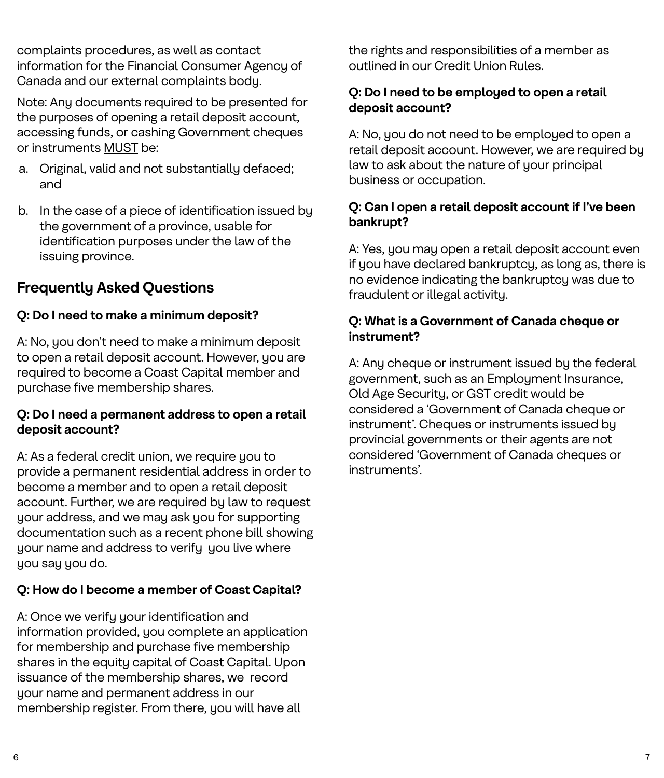complaints procedures, as well as contact information for the Financial Consumer Agency of Canada and our external complaints body.

Note: Any documents required to be presented for the purposes of opening a retail deposit account, accessing funds, or cashing Government cheques or instruments MUST be:

- a. Original, valid and not substantially defaced; and
- b. In the case of a piece of identification issued by the government of a province, usable for identification purposes under the law of the issuing province.

### **Frequently Asked Questions**

### **Q: Do I need to make a minimum deposit?**

A: No, you don't need to make a minimum deposit to open a retail deposit account. However, you are required to become a Coast Capital member and purchase five membership shares.

### **Q: Do I need a permanent address to open a retail deposit account?**

A: As a federal credit union, we require you to provide a permanent residential address in order to become a member and to open a retail deposit account. Further, we are required by law to request your address, and we may ask you for supporting documentation such as a recent phone bill showing your name and address to verify you live where you say you do.

### **Q: How do I become a member of Coast Capital?**

A: Once we verify your identification and information provided, you complete an application for membership and purchase five membership shares in the equity capital of Coast Capital. Upon issuance of the membership shares, we record your name and permanent address in our membership register. From there, you will have all

the rights and responsibilities of a member as outlined in our Credit Union Rules.

### **Q: Do I need to be employed to open a retail deposit account?**

A: No, you do not need to be employed to open a retail deposit account. However, we are required by law to ask about the nature of your principal business or occupation.

### **Q: Can I open a retail deposit account if I've been bankrupt?**

A: Yes, you may open a retail deposit account even if you have declared bankruptcy, as long as, there is no evidence indicating the bankruptcy was due to fraudulent or illegal activity.

### **Q: What is a Government of Canada cheque or instrument?**

A: Any cheque or instrument issued by the federal government, such as an Employment Insurance, Old Age Security, or GST credit would be considered a 'Government of Canada cheque or instrument'. Cheques or instruments issued by provincial governments or their agents are not considered 'Government of Canada cheques or instruments'.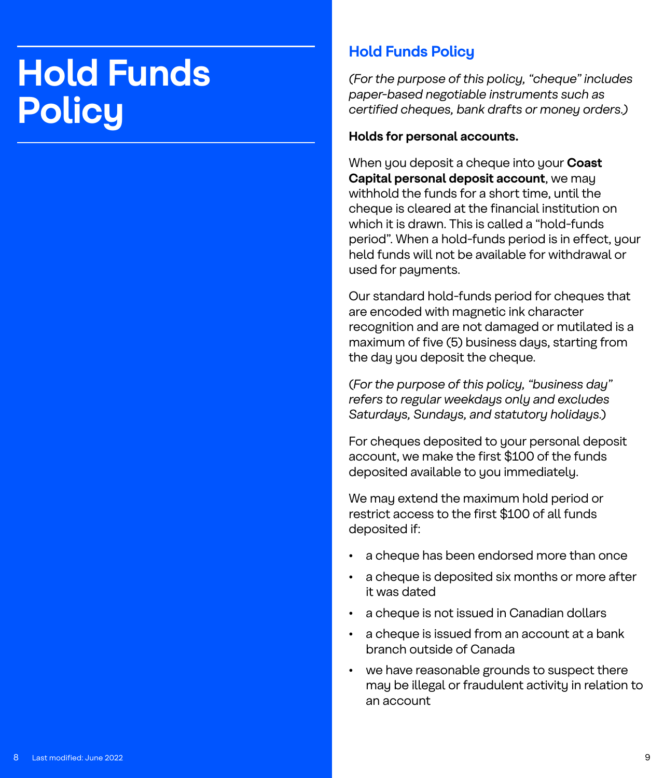# <span id="page-5-0"></span>**Hold Funds Policy**

### **Hold Funds Policy**

*(For the purpose of this policy, "cheque" includes paper-based negotiable instruments such as certified cheques, bank drafts or money orders.)* 

#### **Holds for personal accounts.**

When you deposit a cheque into your **Coast Capital personal deposit account**, we may withhold the funds for a short time, until the cheque is cleared at the financial institution on which it is drawn. This is called a "hold-funds period". When a hold-funds period is in effect, your held funds will not be available for withdrawal or used for payments.

Our standard hold-funds period for cheques that are encoded with magnetic ink character recognition and are not damaged or mutilated is a maximum of five (5) business days, starting from the day you deposit the cheque.

(*For the purpose of this policy, "business day" refers to regular weekdays only and excludes Saturdays, Sundays, and statutory holidays.*)

For cheques deposited to your personal deposit account, we make the first \$100 of the funds deposited available to you immediately.

We may extend the maximum hold period or restrict access to the first \$100 of all funds deposited if:

- a cheque has been endorsed more than once
- a cheque is deposited six months or more after it was dated
- a cheque is not issued in Canadian dollars
- a cheque is issued from an account at a bank branch outside of Canada
- we have reasonable grounds to suspect there may be illegal or fraudulent activity in relation to an account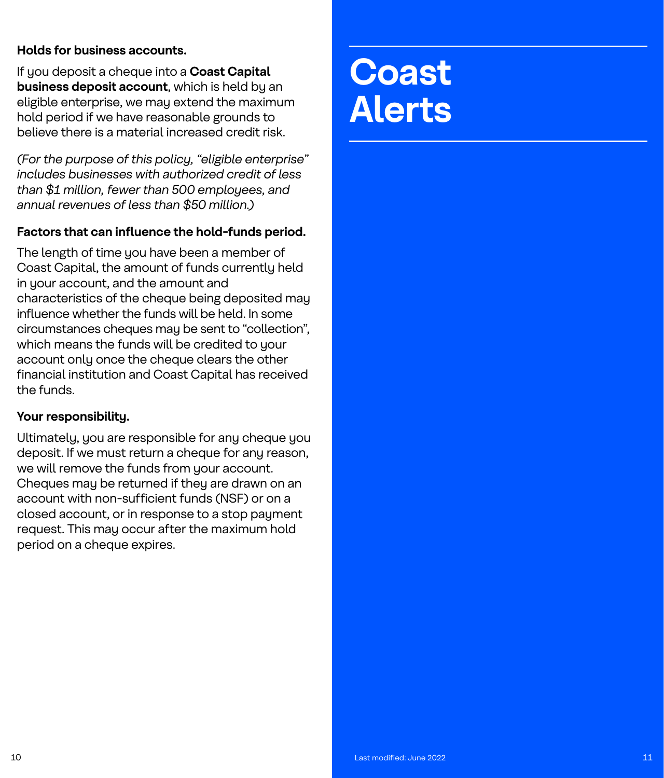#### <span id="page-6-0"></span>**Holds for business accounts.**

If you deposit a cheque into a **Coast Capital business deposit account**, which is held by an eligible enterprise, we may extend the maximum hold period if we have reasonable grounds to believe there is a material increased credit risk.

*(For the purpose of this policy, "eligible enterprise" includes businesses with authorized credit of less than \$1 million, fewer than 500 employees, and annual revenues of less than \$50 million.)* 

### **Factors that can influence the hold-funds period.**

The length of time you have been a member of Coast Capital, the amount of funds currently held in your account, and the amount and characteristics of the cheque being deposited may influence whether the funds will be held. In some circumstances cheques may be sent to "collection", which means the funds will be credited to your account only once the cheque clears the other financial institution and Coast Capital has received the funds.

### **Your responsibility.**

Ultimately, you are responsible for any cheque you deposit. If we must return a cheque for any reason, we will remove the funds from your account. Cheques may be returned if they are drawn on an account with non-sufficient funds (NSF) or on a closed account, or in response to a stop payment request. This may occur after the maximum hold period on a cheque expires.

### **Coast Alerts**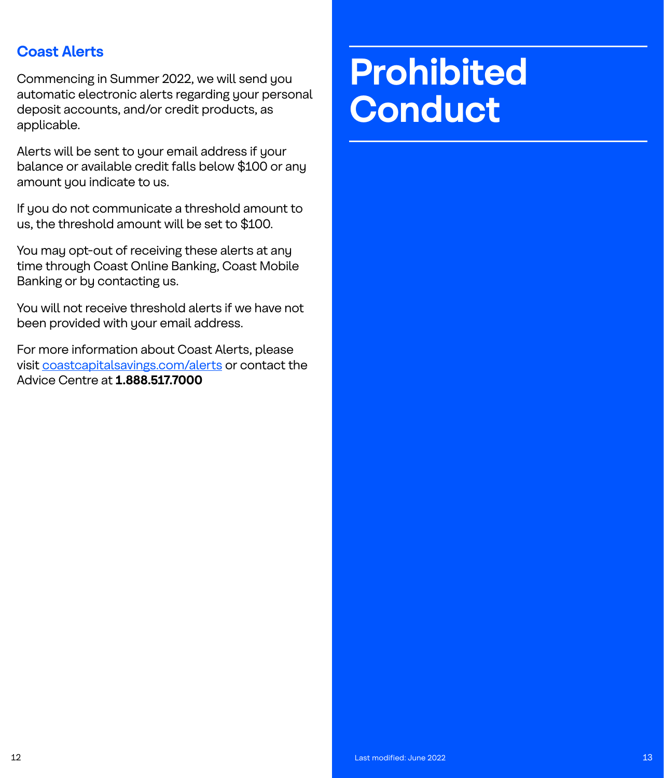### <span id="page-7-0"></span>**Coast Alerts**

Commencing in Summer 2022, we will send you automatic electronic alerts regarding your personal deposit accounts, and/or credit products, as applicable.

Alerts will be sent to your email address if your balance or available credit falls below \$100 or any amount you indicate to us.

If you do not communicate a threshold amount to us, the threshold amount will be set to \$100.

You may opt-out of receiving these alerts at any time through Coast Online Banking, Coast Mobile Banking or by contacting us.

You will not receive threshold alerts if we have not been provided with your email address.

For more information about Coast Alerts, please visit [coastcapitalsavings.com/alerts](https://www.coastcapitalsavings.com/alerts) or contact the Advice Centre at **1.888.517.7000**

## **Prohibited Conduct**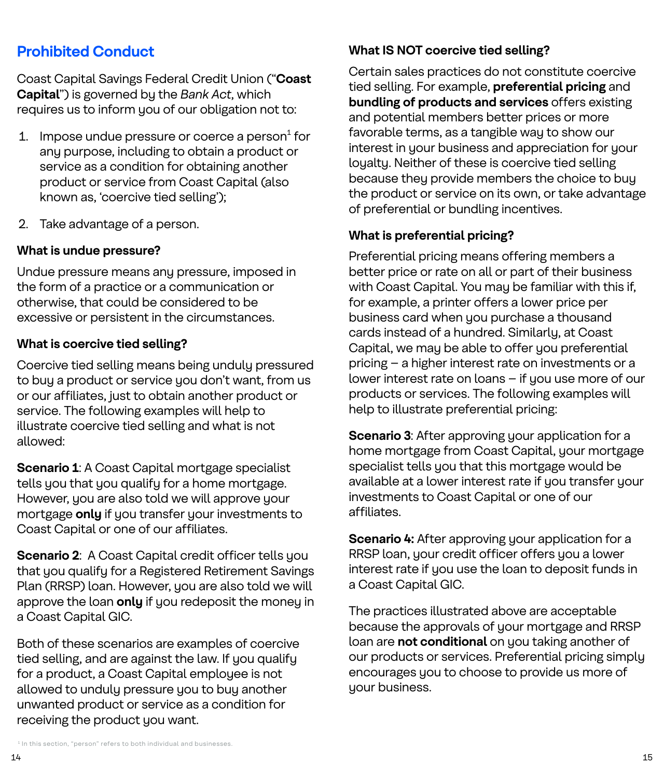### **Prohibited Conduct**

Coast Capital Savings Federal Credit Union ("**Coast Capital**") is governed by the *Bank Act*, which requires us to inform you of our obligation not to:

- 1. Impose undue pressure or coerce a person $1$  for any purpose, including to obtain a product or service as a condition for obtaining another product or service from Coast Capital (also known as, 'coercive tied selling');
- 2. Take advantage of a person.

### **What is undue pressure?**

Undue pressure means any pressure, imposed in the form of a practice or a communication or otherwise, that could be considered to be excessive or persistent in the circumstances.

### **What is coercive tied selling?**

Coercive tied selling means being unduly pressured to buy a product or service you don't want, from us or our affiliates, just to obtain another product or service. The following examples will help to illustrate coercive tied selling and what is not allowed:

**Scenario 1:** A Coast Capital mortgage specialist tells you that you qualify for a home mortgage. However, you are also told we will approve your mortgage **only** if you transfer your investments to Coast Capital or one of our affiliates.

**Scenario 2:** A Coast Capital credit officer tells you that you qualify for a Registered Retirement Savings Plan (RRSP) loan. However, you are also told we will approve the loan **only** if you redeposit the money in a Coast Capital GIC.

Both of these scenarios are examples of coercive tied selling, and are against the law. If you qualify for a product, a Coast Capital employee is not allowed to unduly pressure you to buy another unwanted product or service as a condition for receiving the product you want.

### **What IS NOT coercive tied selling?**

Certain sales practices do not constitute coercive tied selling. For example, **preferential pricing** and **bundling of products and services** offers existing and potential members better prices or more favorable terms, as a tangible way to show our interest in your business and appreciation for your loyalty. Neither of these is coercive tied selling because they provide members the choice to buy the product or service on its own, or take advantage of preferential or bundling incentives.

### **What is preferential pricing?**

Preferential pricing means offering members a better price or rate on all or part of their business with Coast Capital. You may be familiar with this if, for example, a printer offers a lower price per business card when you purchase a thousand cards instead of a hundred. Similarly, at Coast Capital, we may be able to offer you preferential pricing – a higher interest rate on investments or a lower interest rate on loans – if you use more of our products or services. The following examples will help to illustrate preferential pricing:

**Scenario 3:** After approving your application for a home mortgage from Coast Capital, your mortgage specialist tells you that this mortgage would be available at a lower interest rate if you transfer your investments to Coast Capital or one of our affiliates.

**Scenario 4:** After approving your application for a RRSP loan, your credit officer offers you a lower interest rate if you use the loan to deposit funds in a Coast Capital GIC.

The practices illustrated above are acceptable because the approvals of your mortgage and RRSP loan are **not conditional** on you taking another of our products or services. Preferential pricing simply encourages you to choose to provide us more of your business.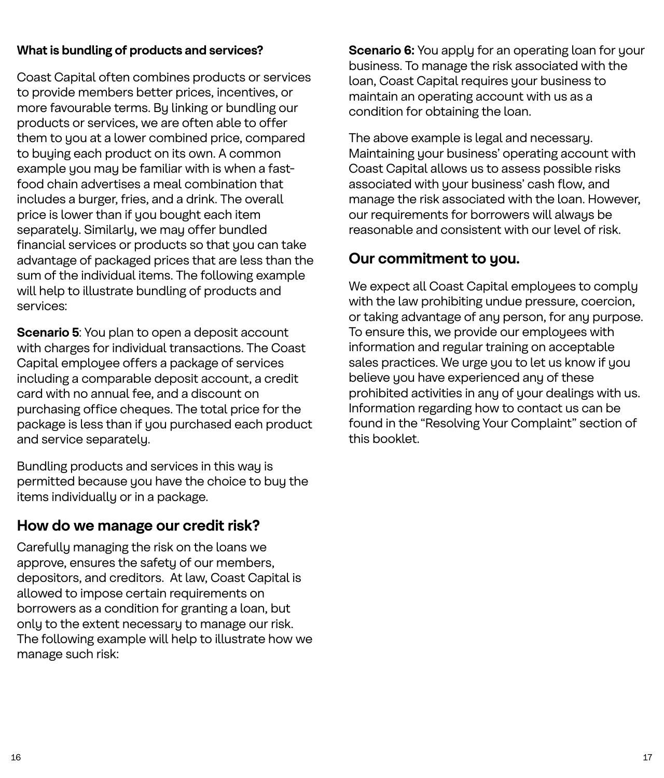### **What is bundling of products and services?**

Coast Capital often combines products or services to provide members better prices, incentives, or more favourable terms. By linking or bundling our products or services, we are often able to offer them to you at a lower combined price, compared to buying each product on its own. A common example you may be familiar with is when a fastfood chain advertises a meal combination that includes a burger, fries, and a drink. The overall price is lower than if you bought each item separately. Similarly, we may offer bundled financial services or products so that you can take advantage of packaged prices that are less than the sum of the individual items. The following example will help to illustrate bundling of products and services:

**Scenario 5:** You plan to open a deposit account with charges for individual transactions. The Coast Capital employee offers a package of services including a comparable deposit account, a credit card with no annual fee, and a discount on purchasing office cheques. The total price for the package is less than if you purchased each product and service separately.

Bundling products and services in this way is permitted because you have the choice to buy the items individually or in a package.

### **How do we manage our credit risk?**

Carefully managing the risk on the loans we approve, ensures the safety of our members, depositors, and creditors. At law, Coast Capital is allowed to impose certain requirements on borrowers as a condition for granting a loan, but only to the extent necessary to manage our risk. The following example will help to illustrate how we manage such risk:

**Scenario 6:** You apply for an operating loan for your business. To manage the risk associated with the loan, Coast Capital requires your business to maintain an operating account with us as a condition for obtaining the loan.

The above example is legal and necessary. Maintaining your business' operating account with Coast Capital allows us to assess possible risks associated with your business' cash flow, and manage the risk associated with the loan. However, our requirements for borrowers will always be reasonable and consistent with our level of risk.

### **Our commitment to you.**

We expect all Coast Capital employees to comply with the law prohibiting undue pressure, coercion, or taking advantage of any person, for any purpose. To ensure this, we provide our employees with information and regular training on acceptable sales practices. We urge you to let us know if you believe you have experienced any of these prohibited activities in any of your dealings with us. Information regarding how to contact us can be found in the "Resolving Your Complaint" section of this booklet.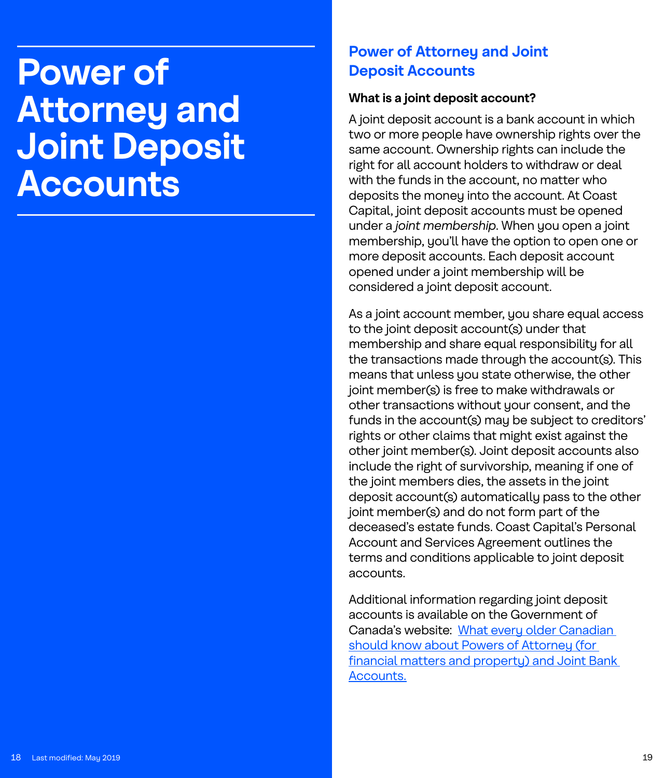### <span id="page-10-0"></span>**Power of Attorney and Joint Deposit Accounts**

### **Power of Attorney and Joint Deposit Accounts**

#### **What is a joint deposit account?**

A joint deposit account is a bank account in which two or more people have ownership rights over the same account. Ownership rights can include the right for all account holders to withdraw or deal with the funds in the account, no matter who deposits the money into the account. At Coast Capital, joint deposit accounts must be opened under a *joint membership*. When you open a joint membership, you'll have the option to open one or more deposit accounts. Each deposit account opened under a joint membership will be considered a joint deposit account.

As a joint account member, you share equal access to the joint deposit account(s) under that membership and share equal responsibility for all the transactions made through the account(s). This means that unless you state otherwise, the other joint member(s) is free to make withdrawals or other transactions without your consent, and the funds in the account(s) may be subject to creditors' rights or other claims that might exist against the other joint member(s). Joint deposit accounts also include the right of survivorship, meaning if one of the joint members dies, the assets in the joint deposit account(s) automatically pass to the other joint member(s) and do not form part of the deceased's estate funds. Coast Capital's Personal Account and Services Agreement outlines the terms and conditions applicable to joint deposit accounts.

Additional information regarding joint deposit accounts is available on the Government of Canada's website: [What every older Canadian](https://www.canada.ca/en/employment-social-development/corporate/seniors/forum/power-attorney-financial.html)  [should know about Powers of Attorney \(for](https://www.canada.ca/en/employment-social-development/corporate/seniors/forum/power-attorney-financial.html)  [financial matters and property\) and Joint Bank](https://www.canada.ca/en/employment-social-development/corporate/seniors/forum/power-attorney-financial.html)  [Accounts.](https://www.canada.ca/en/employment-social-development/corporate/seniors/forum/power-attorney-financial.html)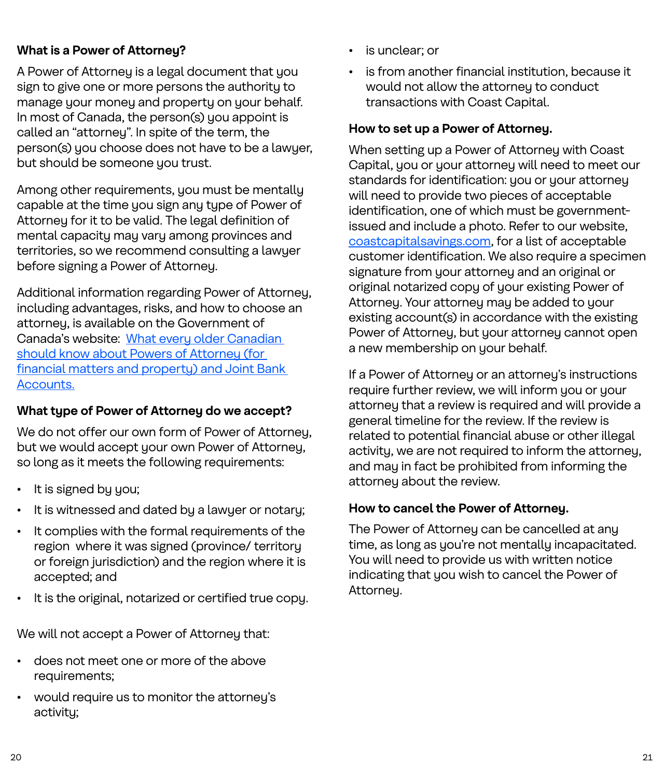### **What is a Power of Attorney?**

A Power of Attorney is a legal document that you sign to give one or more persons the authority to manage your money and property on your behalf. In most of Canada, the person(s) you appoint is called an "attorney". In spite of the term, the person(s) you choose does not have to be a lawyer, but should be someone you trust.

Among other requirements, you must be mentally capable at the time you sign any type of Power of Attorney for it to be valid. The legal definition of mental capacity may vary among provinces and territories, so we recommend consulting a lawyer before signing a Power of Attorney.

Additional information regarding Power of Attorney, including advantages, risks, and how to choose an attorney, is available on the Government of Canada's website: [What every older Canadian](https://www.canada.ca/en/employment-social-development/corporate/seniors/forum/power-attorney-financial.html)  [should know about Powers of Attorney \(for](https://www.canada.ca/en/employment-social-development/corporate/seniors/forum/power-attorney-financial.html)  [financial matters and property\) and Joint Bank](https://www.canada.ca/en/employment-social-development/corporate/seniors/forum/power-attorney-financial.html)  [Accounts.](https://www.canada.ca/en/employment-social-development/corporate/seniors/forum/power-attorney-financial.html)

### **What type of Power of Attorney do we accept?**

We do not offer our own form of Power of Attorney, but we would accept your own Power of Attorney, so long as it meets the following requirements:

- It is signed by you;
- It is witnessed and dated by a lawyer or notary;
- It complies with the formal requirements of the region where it was signed (province/ territory or foreign jurisdiction) and the region where it is accepted; and
- It is the original, notarized or certified true copy.

We will not accept a Power of Attorney that:

- does not meet one or more of the above requirements;
- would require us to monitor the attorney's activity;
- is unclear; or
- is from another financial institution, because it would not allow the attorney to conduct transactions with Coast Capital.

### **How to set up a Power of Attorney.**

When setting up a Power of Attorney with Coast Capital, you or your attorney will need to meet our standards for identification: you or your attorney will need to provide two pieces of acceptable identification, one of which must be governmentissued and include a photo. Refer to our website, [coastcapitalsavings.com,](http://coastcapitalsavings.com) for a list of acceptable customer identification. We also require a specimen signature from your attorney and an original or original notarized copy of your existing Power of Attorney. Your attorney may be added to your existing account(s) in accordance with the existing Power of Attorney, but your attorney cannot open a new membership on your behalf.

If a Power of Attorney or an attorney's instructions require further review, we will inform you or your attorney that a review is required and will provide a general timeline for the review. If the review is related to potential financial abuse or other illegal activity, we are not required to inform the attorney, and may in fact be prohibited from informing the attorney about the review.

### **How to cancel the Power of Attorney.**

The Power of Attorney can be cancelled at any time, as long as you're not mentally incapacitated. You will need to provide us with written notice indicating that you wish to cancel the Power of Attorney.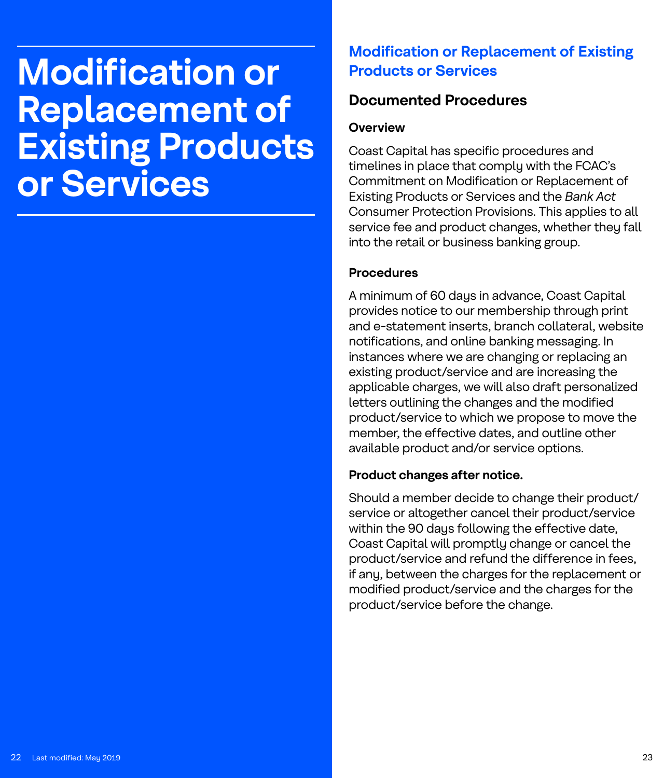### <span id="page-12-0"></span>**Modification or Replacement of Existing Products or Services**

### **Modification or Replacement of Existing Products or Services**

### **Documented Procedures**

### **Overview**

Coast Capital has specific procedures and timelines in place that comply with the FCAC's Commitment on Modification or Replacement of Existing Products or Services and the *Bank Act*  Consumer Protection Provisions. This applies to all service fee and product changes, whether they fall into the retail or business banking group.

### **Procedures**

A minimum of 60 days in advance, Coast Capital provides notice to our membership through print and e-statement inserts, branch collateral, website notifications, and online banking messaging. In instances where we are changing or replacing an existing product/service and are increasing the applicable charges, we will also draft personalized letters outlining the changes and the modified product/service to which we propose to move the member, the effective dates, and outline other available product and/or service options.

### **Product changes after notice.**

Should a member decide to change their product/ service or altogether cancel their product/service within the 90 days following the effective date, Coast Capital will promptly change or cancel the product/service and refund the difference in fees, if any, between the charges for the replacement or modified product/service and the charges for the product/service before the change.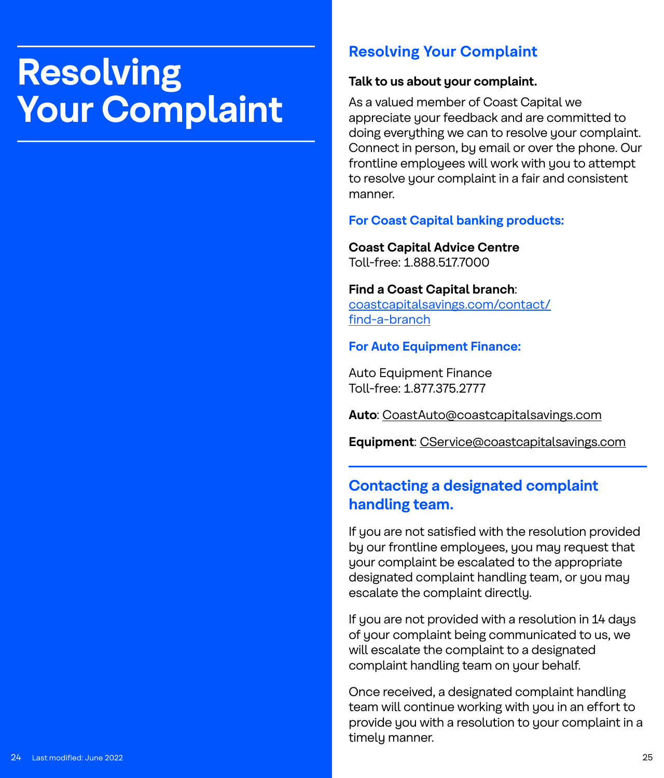### <span id="page-13-0"></span>**Resolving Your Complaint**

### **Resolving Your Complaint**

#### **Talk to us about your complaint.**

As a valued member of Coast Capital we appreciate your feedback and are committed to doing everything we can to resolve your complaint. Connect in person, by email or over the phone. Our frontline employees will work with you to attempt to resolve your complaint in a fair and consistent manner.

#### **For Coast Capital banking products:**

**Coast Capital Advice Centre**  Toll-free: 1.888.517.7000

**Find a Coast Capital branch**: [coastcapitalsavings.com/contact/](https://www.coastcapitalsavings.com/contact/find-a-branch) find-a-branch

#### **For Auto Equipment Finance:**

Auto Equipment Finance Toll-free: 1.877.375.2777

**Auto**: CoastAuto@coastcapitalsavings.com

**Equipment**: CService@coastcapitalsavings.com

### **Contacting a designated complaint handling team.**

If you are not satisfied with the resolution provided by our frontline employees, you may request that your complaint be escalated to the appropriate designated complaint handling team, or you may escalate the complaint directly.

If you are not provided with a resolution in 14 days of your complaint being communicated to us, we will escalate the complaint to a designated complaint handling team on your behalf.

Once received, a designated complaint handling team will continue working with you in an effort to provide you with a resolution to your complaint in a timely manner.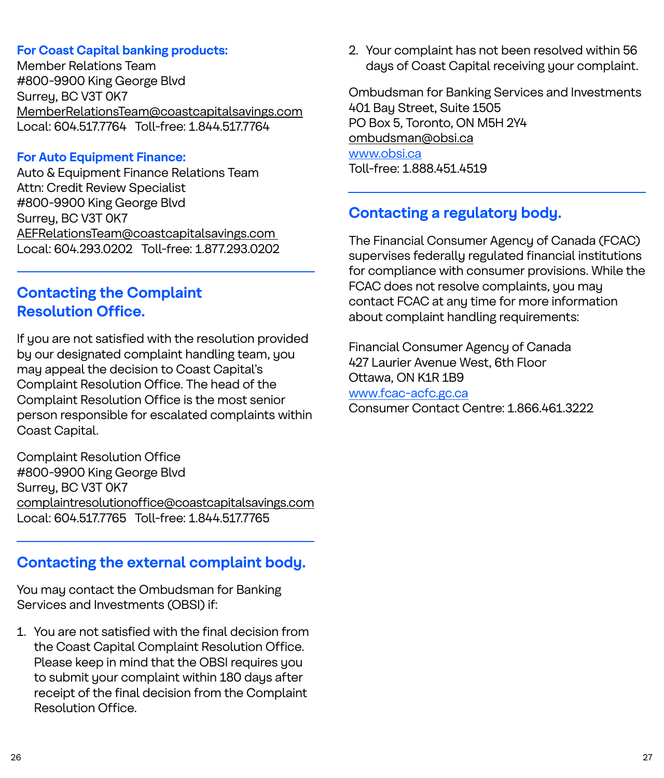### **For Coast Capital banking products:**

Member Relations Team #800-9900 King George Blvd Surrey, BC V3T 0K7 MemberRelationsTeam@coastcapitalsavings.com Local: 604.517.7764 Toll-free: 1.844.517.7764

### **For Auto Equipment Finance:**

Auto & Equipment Finance Relations Team Attn: Credit Review Specialist #800-9900 King George Blvd Surrey, BC V3T 0K7 AEFRelationsTeam@coastcapitalsavings.com Local: 604.293.0202 Toll-free: 1.877.293.0202

### **Contacting the Complaint Resolution Office.**

If you are not satisfied with the resolution provided by our designated complaint handling team, you may appeal the decision to Coast Capital's Complaint Resolution Office. The head of the Complaint Resolution Office is the most senior person responsible for escalated complaints within Coast Capital.

Complaint Resolution Office #800-9900 King George Blvd Surrey, BC V3T 0K7 complaintresolutionoffice@coastcapitalsavings.com Local: 604.517.7765 Toll-free: 1.844.517.7765

### **Contacting the external complaint body.**

You may contact the Ombudsman for Banking Services and Investments (OBSI) if:

1. You are not satisfied with the final decision from the Coast Capital Complaint Resolution Office. Please keep in mind that the OBSI requires you to submit your complaint within 180 days after receipt of the final decision from the Complaint Resolution Office.

2. Your complaint has not been resolved within 56 days of Coast Capital receiving your complaint.

Ombudsman for Banking Services and Investments 401 Bay Street, Suite 1505 PO Box 5, Toronto, ON M5H 2Y4 ombudsman@obsi.ca [www.obsi.ca](http://www.obsi.ca) Toll-free: 1.888.451.4519

### **Contacting a regulatory body.**

The Financial Consumer Agency of Canada (FCAC) supervises federally regulated financial institutions for compliance with consumer provisions. While the FCAC does not resolve complaints, you may contact FCAC at any time for more information about complaint handling requirements:

Financial Consumer Agency of Canada 427 Laurier Avenue West, 6th Floor Ottawa, ON K1R 1B9 [www.fcac-acfc.gc.ca](https://www.canada.ca/en/financial-consumer-agency.html) Consumer Contact Centre: 1.866.461.3222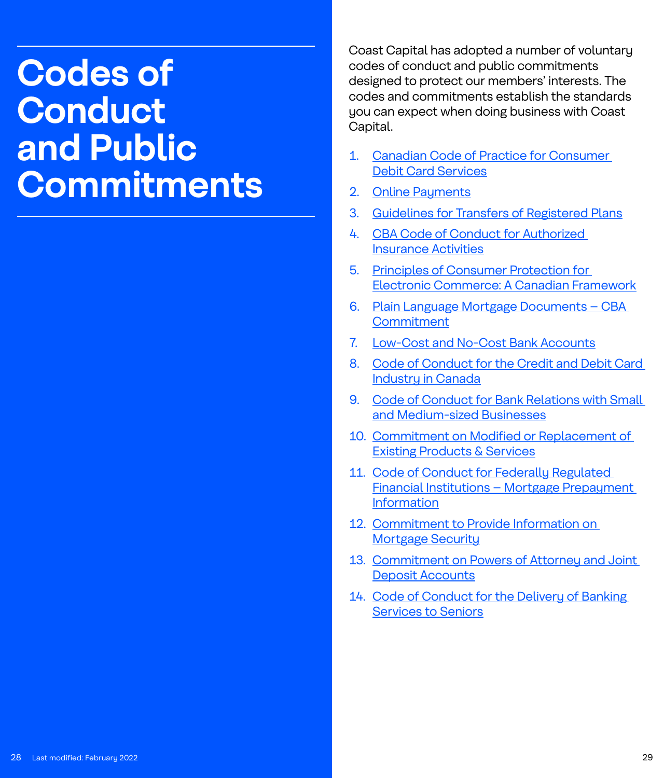### <span id="page-15-0"></span>**Codes of Conduct and Public Commitments**

Coast Capital has adopted a number of voluntary codes of conduct and public commitments designed to protect our members' interests. The codes and commitments establish the standards you can expect when doing business with Coast Capital.

- 1. [Canadian Code of Practice for Consumer](https://www.canada.ca/en/financial-consumer-agency/services/industry/laws-regulations/debit-card-code-conduct.html)  [Debit Card Services](https://www.canada.ca/en/financial-consumer-agency/services/industry/laws-regulations/debit-card-code-conduct.html)
- 2. Online Pauments
- 3. [Guidelines for Transfers of Registered Plans](https://cba.ca/Assets/CBA/Documents/Files/Article%20Category/PDF/new-vol_20090000b_guidelinesfortransfersofplans_en.pdf)
- 4. [CBA Code of Conduct for Authorized](https://www.cba.ca/Assets/CBA/Documents/Files/Article%20Category/PDF/vol_20090000_authorizedinsuranceactivities_en.pdf)  [Insurance Activities](https://www.cba.ca/Assets/CBA/Documents/Files/Article%20Category/PDF/vol_20090000_authorizedinsuranceactivities_en.pdf)
- 5. [Principles of Consumer Protection for](https://cba.ca/Assets/CBA/Documents/Files/Article%20Category/PDF/vol_20090000_consumerprotectionelectroniccommerce_en.pdf)  [Electronic Commerce: A Canadian Framework](https://cba.ca/Assets/CBA/Documents/Files/Article%20Category/PDF/vol_20090000_consumerprotectionelectroniccommerce_en.pdf)
- 6. [Plain Language Mortgage Documents CBA](https://cba.ca/Assets/CBA/Documents/Files/Article%20Category/PDF/vol_20040929_plainlanguagemortgagedocument_en.pdf)  **[Commitment](https://cba.ca/Assets/CBA/Documents/Files/Article%20Category/PDF/vol_20040929_plainlanguagemortgagedocument_en.pdf)**
- 7. [Low-Cost and No-Cost Bank Accounts](https://www.canada.ca/en/financial-consumer-agency/services/industry/laws-regulations/low-cost-account-guidelines.html)
- 8. [Code of Conduct for the Credit and Debit Card](https://www.canada.ca/en/financial-consumer-agency/services/industry/laws-regulations/credit-debit-code-conduct.html)  [Industry in Canada](https://www.canada.ca/en/financial-consumer-agency/services/industry/laws-regulations/credit-debit-code-conduct.html)
- 9. [Code of Conduct for Bank Relations with Small](https://www.cba.ca/Assets/CBA/Documents/Files/Article%20Category/PDF/vol_20090403_bankrelationssmes_en.pdf)  [and Medium-sized Businesses](https://www.cba.ca/Assets/CBA/Documents/Files/Article%20Category/PDF/vol_20090403_bankrelationssmes_en.pdf)
- 10. [Commitment on Modified or Replacement of](https://cba.ca/Assets/CBA/Documents/Files/Article%20Category/PDF/vol_20120801_morps_en.pdf)  [Existing Products & Services](https://cba.ca/Assets/CBA/Documents/Files/Article%20Category/PDF/vol_20120801_morps_en.pdf)
- 11. [Code of Conduct for Federally Regulated](https://www.canada.ca/en/financial-consumer-agency/services/industry/laws-regulations/mortgage-prepayment-information-code.html)  [Financial Institutions – Mortgage Prepayment](https://www.canada.ca/en/financial-consumer-agency/services/industry/laws-regulations/mortgage-prepayment-information-code.html)  [Information](https://www.canada.ca/en/financial-consumer-agency/services/industry/laws-regulations/mortgage-prepayment-information-code.html)
- 12. [Commitment to Provide Information on](https://www.cba.ca/Assets/CBA/Documents/Files/Article%20Category/PDF/vol-mortgage-security-en.pdf
)  [Mortgage Security](https://www.cba.ca/Assets/CBA/Documents/Files/Article%20Category/PDF/vol-mortgage-security-en.pdf
)
- 13. [Commitment on Powers of Attorney and Joint](https://www.cba.ca/Assets/CBA/Documents/Files/Article%20Category/PDF/vol-poa-joint-account-en.pdf
)  [Deposit Accounts](https://www.cba.ca/Assets/CBA/Documents/Files/Article%20Category/PDF/vol-poa-joint-account-en.pdf
)
- 14. [Code of Conduct for the Delivery of Banking](https://cba.ca/Assets/CBA/Documents/Files/Article%20Category/PDF/vol-seniors-en.pdf)  [Services to Seniors](https://cba.ca/Assets/CBA/Documents/Files/Article%20Category/PDF/vol-seniors-en.pdf)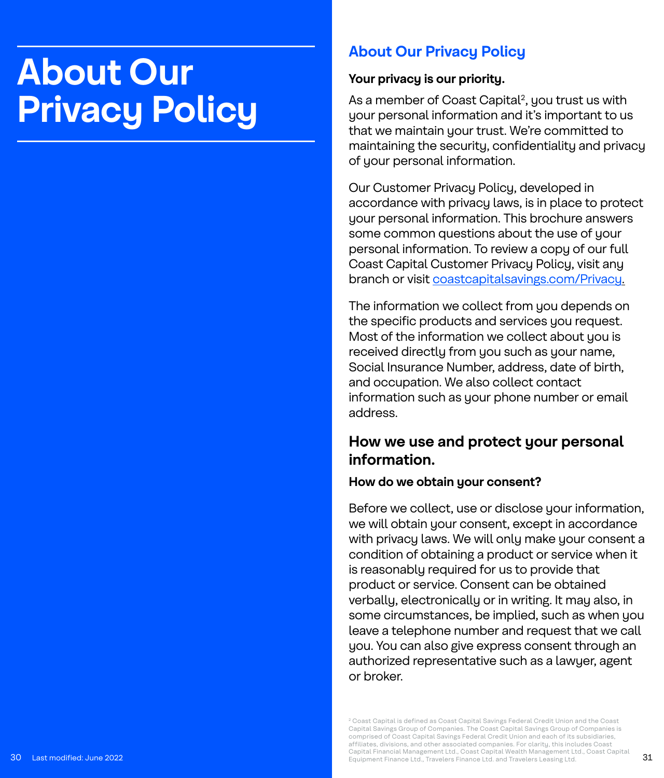### <span id="page-16-0"></span>**About Our Privacy Policy**

### **About Our Privacy Policy**

### **Your privacy is our priority.**

As a member of Coast Capital<sup>2</sup>, you trust us with your personal information and it's important to us that we maintain your trust. We're committed to maintaining the security, confidentiality and privacy of your personal information.

Our Customer Privacy Policy, developed in accordance with privacy laws, is in place to protect your personal information. This brochure answers some common questions about the use of your personal information. To review a copy of our full Coast Capital Customer Privacy Policy, visit any branch or visit [coastcapitalsavings.com/Privacy](http://coastcapitalsavings.com/Privacy).

The information we collect from you depends on the specific products and services you request. Most of the information we collect about you is received directly from you such as your name, Social Insurance Number, address, date of birth, and occupation. We also collect contact information such as your phone number or email address.

### **How we use and protect your personal information.**

#### **How do we obtain your consent?**

Before we collect, use or disclose your information, we will obtain your consent, except in accordance with privacy laws. We will only make your consent a condition of obtaining a product or service when it is reasonably required for us to provide that product or service. Consent can be obtained verbally, electronically or in writing. It may also, in some circumstances, be implied, such as when you leave a telephone number and request that we call you. You can also give express consent through an authorized representative such as a lawyer, agent or broker.

30 31 Equipment Finance Ltd., Travelers Finance Ltd. and Travelers Leasing Ltd.2 Coast Capital is defined as Coast Capital Savings Federal Credit Union and the Coast Capital Savings Group of Companies. The Coast Capital Savings Group of Companies is comprised of Coast Capital Savings Federal Credit Union and each of its subsidiaries, affiliates, divisions, and other associated companies. For clarity, this includes Coast Capital Financial Management Ltd., Coast Capital Wealth Management Ltd., Coast Capital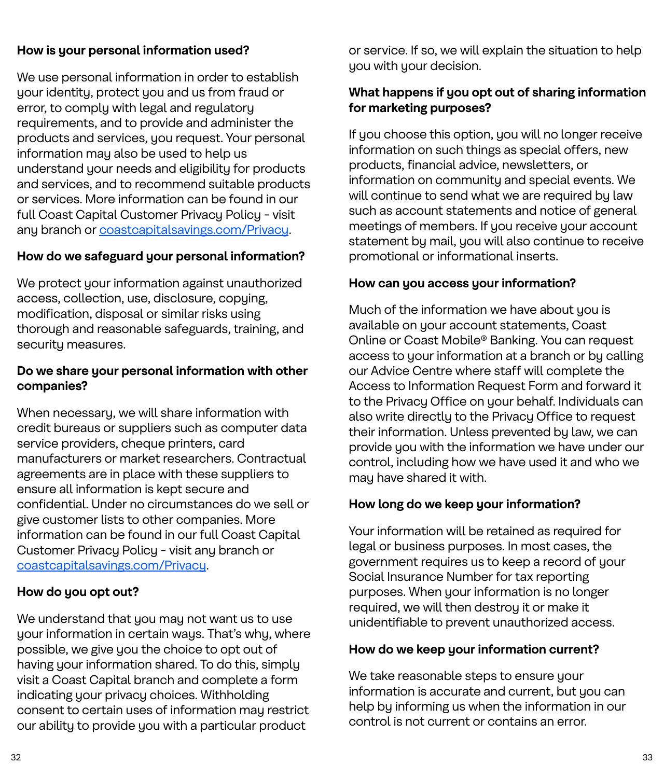### **How is your personal information used?**

We use personal information in order to establish your identity, protect you and us from fraud or error, to comply with legal and regulatory requirements, and to provide and administer the products and services, you request. Your personal information may also be used to help us understand your needs and eligibility for products and services, and to recommend suitable products or services. More information can be found in our full Coast Capital Customer Privacy Policy - visit any branch or [coastcapitalsavings.com/Privacy.](http://coastcapitalsavings.com/Privacy)

### **How do we safeguard your personal information?**

We protect your information against unauthorized access, collection, use, disclosure, copying, modification, disposal or similar risks using thorough and reasonable safeguards, training, and security measures.

### **Do we share your personal information with other companies?**

When necessary, we will share information with credit bureaus or suppliers such as computer data service providers, cheque printers, card manufacturers or market researchers. Contractual agreements are in place with these suppliers to ensure all information is kept secure and confidential. Under no circumstances do we sell or give customer lists to other companies. More information can be found in our full Coast Capital Customer Privacy Policy - visit any branch or [coastcapitalsavings.com/Privacy](http://coastcapitalsavings.com/Privacy).

### **How do you opt out?**

We understand that you may not want us to use your information in certain ways. That's why, where possible, we give you the choice to opt out of having your information shared. To do this, simply visit a Coast Capital branch and complete a form indicating your privacy choices. Withholding consent to certain uses of information may restrict our ability to provide you with a particular product

or service. If so, we will explain the situation to help you with your decision.

### **What happens if you opt out of sharing information for marketing purposes?**

If you choose this option, you will no longer receive information on such things as special offers, new products, financial advice, newsletters, or information on community and special events. We will continue to send what we are required by law such as account statements and notice of general meetings of members. If you receive your account statement by mail, you will also continue to receive promotional or informational inserts.

### **How can you access your information?**

Much of the information we have about you is available on your account statements, Coast Online or Coast Mobile® Banking. You can request access to your information at a branch or by calling our Advice Centre where staff will complete the Access to Information Request Form and forward it to the Privacy Office on your behalf. Individuals can also write directly to the Privacy Office to request their information. Unless prevented by law, we can provide you with the information we have under our control, including how we have used it and who we may have shared it with.

### **How long do we keep your information?**

Your information will be retained as required for legal or business purposes. In most cases, the government requires us to keep a record of your Social Insurance Number for tax reporting purposes. When your information is no longer required, we will then destroy it or make it unidentifiable to prevent unauthorized access.

### **How do we keep your information current?**

We take reasonable steps to ensure your information is accurate and current, but you can help by informing us when the information in our control is not current or contains an error.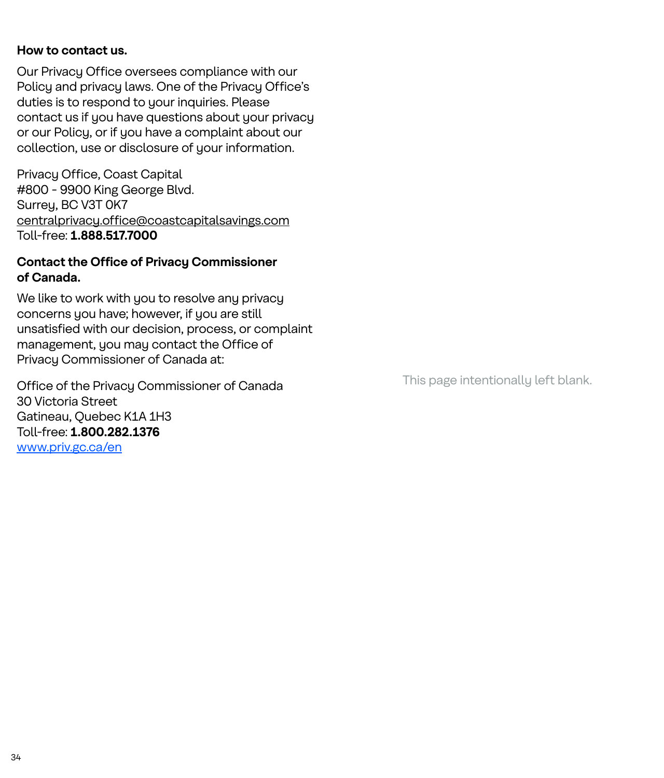#### **How to contact us.**

Our Privacy Office oversees compliance with our Policy and privacy laws. One of the Privacy Office's duties is to respond to your inquiries. Please contact us if you have questions about your privacy or our Policy, or if you have a complaint about our collection, use or disclosure of your information.

Privacy Office, Coast Capital #800 - 9900 King George Blvd. Surrey, BC V3T 0K7 centralprivacy.office@coastcapitalsavings.com Toll-free: **1.888.517.7000** 

### **Contact the Office of Privacy Commissioner of Canada.**

We like to work with you to resolve any privacy concerns you have; however, if you are still unsatisfied with our decision, process, or complaint management, you may contact the Office of Privacy Commissioner of Canada at:

Office of the Privacy Commissioner of Canada 30 Victoria Street Gatineau, Quebec K1A 1H3 Toll-free: **1.800.282.1376** [www.priv.gc.ca/en](http://www.priv.gc.ca/en)

This page intentionally left blank.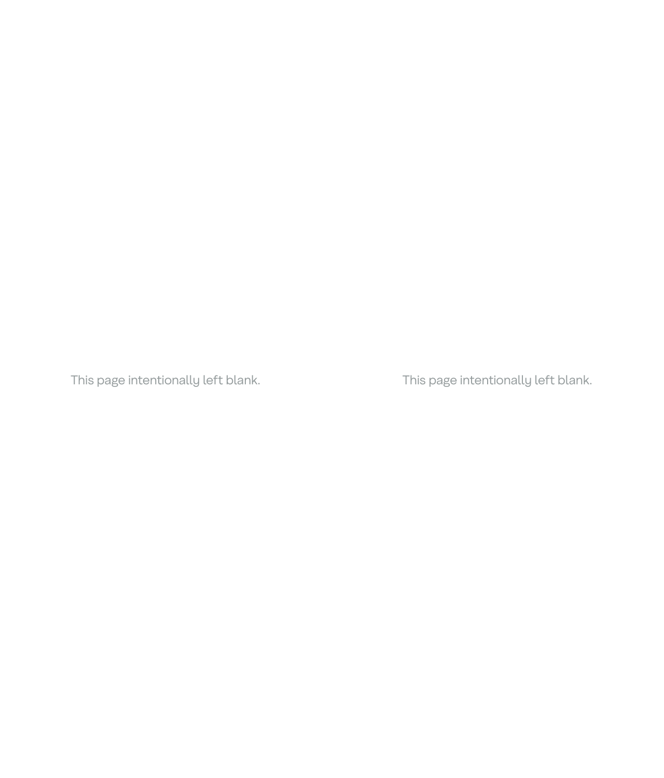<span id="page-19-0"></span>This page intentionally left blank. This page intentionally left blank.